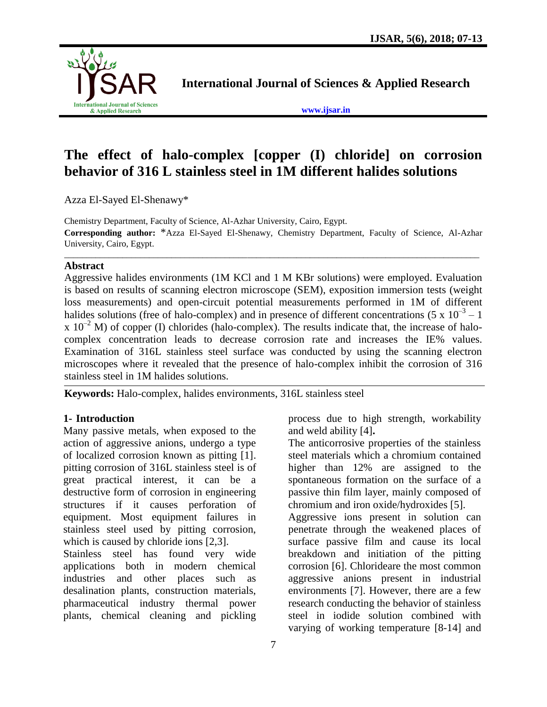

**International Journal of Sciences & Applied Research**

**[www.ijsar.in](http://www.ijsar.in/)**

# **The effect of halo-complex [copper (I) chloride] on corrosion behavior of 316 L stainless steel in 1M different halides solutions**

Azza El-Sayed El-Shenawy\*

Chemistry Department, Faculty of Science, Al-Azhar University, Cairo, Egypt. **Corresponding author:** \*Azza El-Sayed El-Shenawy, Chemistry Department, Faculty of Science, Al-Azhar University, Cairo, Egypt. \_\_\_\_\_\_\_\_\_\_\_\_\_\_\_\_\_\_\_\_\_\_\_\_\_\_\_\_\_\_\_\_\_\_\_\_\_\_\_\_\_\_\_\_\_\_\_\_\_\_\_\_\_\_\_\_\_\_\_\_\_\_\_\_\_\_\_\_\_\_\_\_\_\_\_\_\_\_\_\_\_\_\_\_\_\_\_\_\_\_\_\_\_

# **Abstract**

Aggressive halides environments (1M KCl and 1 M KBr solutions) were employed. Evaluation is based on results of scanning electron microscope (SEM), exposition immersion tests (weight loss measurements) and open-circuit potential measurements performed in 1M of different halides solutions (free of halo-complex) and in presence of different concentrations (5 x  $10^{-3} - 1$ )  $\propto 10^{-2}$  M) of copper (I) chlorides (halo-complex). The results indicate that, the increase of halocomplex concentration leads to decrease corrosion rate and increases the IE% values. Examination of 316L stainless steel surface was conducted by using the scanning electron microscopes where it revealed that the presence of halo-complex inhibit the corrosion of 316 stainless steel in 1M halides solutions.

**Keywords:** Halo-complex, halides environments, 316L stainless steel

# **1- Introduction**

Many passive metals, when exposed to the action of aggressive anions, undergo a type of localized corrosion known as pitting [1]. pitting corrosion of 316L stainless steel is of great practical interest, it can be a destructive form of corrosion in engineering structures if it causes perforation of equipment. Most equipment failures in stainless steel used by pitting corrosion, which is caused by chloride ions [2,3].

Stainless steel has found very wide applications both in modern chemical industries and other places such as desalination plants, construction materials, pharmaceutical industry thermal power plants, chemical cleaning and pickling process due to high strength, workability and weld ability [4]**.**

The anticorrosive properties of the stainless steel materials which a chromium contained higher than 12% are assigned to the spontaneous formation on the surface of a passive thin film layer, mainly composed of chromium and iron oxide/hydroxides [5].

Aggressive ions present in solution can penetrate through the weakened places of surface passive film and cause its local breakdown and initiation of the pitting corrosion [6]. Chlorideare the most common aggressive anions present in industrial environments [7]. However, there are a few research conducting the behavior of stainless steel in iodide solution combined with varying of working temperature [8-14] and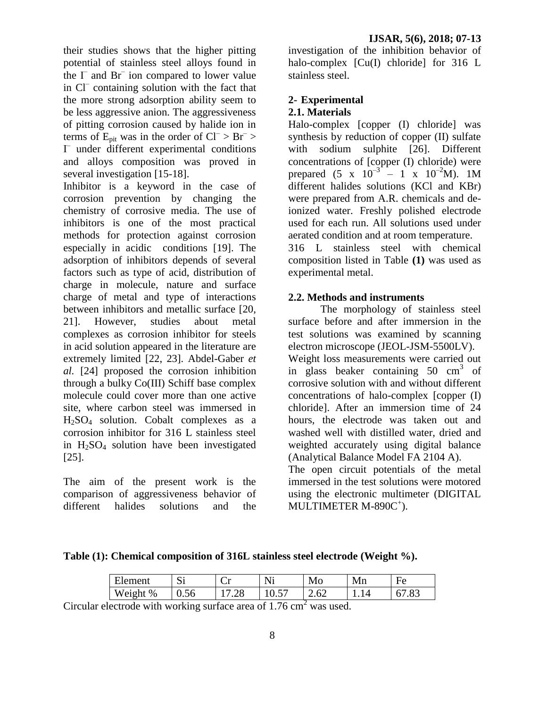their studies shows that the higher pitting potential of stainless steel alloys found in the  $\Gamma$  and Br<sup>–</sup> ion compared to lower value in Cl<sup>–</sup> containing solution with the fact that the more strong adsorption ability seem to be less aggressive anion. The aggressiveness of pitting corrosion caused by halide ion in terms of  $E_{pit}$  was in the order of  $CI^{-} > Br^{-} >$ I – under different experimental conditions and alloys composition was proved in several investigation [15-18].

Inhibitor is a keyword in the case of corrosion prevention by changing the chemistry of corrosive media. The use of inhibitors is one of the most practical methods for protection against corrosion especially in acidic conditions [19]. The adsorption of inhibitors depends of several factors such as type of acid, distribution of charge in molecule, nature and surface charge of metal and type of interactions between inhibitors and metallic surface [20, 21]. However, studies about metal complexes as corrosion inhibitor for steels in acid solution appeared in the literature are extremely limited [22, 23]. Abdel-Gaber *et al.* [24] proposed the corrosion inhibition through a bulky Co(III) Schiff base complex molecule could cover more than one active site, where carbon steel was immersed in H2SO<sup>4</sup> solution. Cobalt complexes as a corrosion inhibitor for 316 L stainless steel in  $H_2SO_4$  solution have been investigated [25].

The aim of the present work is the comparison of aggressiveness behavior of different halides solutions and the

investigation of the inhibition behavior of halo-complex [Cu(I) chloride] for 316 L stainless steel.

# **2- Experimental 2.1. Materials**

Halo-complex [copper (I) chloride] was synthesis by reduction of copper (II) sulfate with sodium sulphite [26]. Different concentrations of [copper (I) chloride) were prepared (5 x  $10^{-3}$  – 1 x  $10^{-2}$ M). 1M different halides solutions (KCl and KBr) were prepared from A.R. chemicals and deionized water. Freshly polished electrode used for each run. All solutions used under aerated condition and at room temperature. 316 L stainless steel with chemical

composition listed in Table **(1)** was used as experimental metal.

# **2.2. Methods and instruments**

The morphology of stainless steel surface before and after immersion in the test solutions was examined by scanning electron microscope (JEOL-JSM-5500LV). Weight loss measurements were carried out in glass beaker containing  $50 \text{ cm}^3$  of corrosive solution with and without different concentrations of halo-complex [copper (I) chloride]. After an immersion time of 24 hours, the electrode was taken out and washed well with distilled water, dried and weighted accurately using digital balance (Analytical Balance Model FA 2104 A).

The open circuit potentials of the metal immersed in the test solutions were motored using the electronic multimeter (DIGITAL MULTIMETER M-890C<sup>+</sup>).

**Table (1): Chemical composition of 316L stainless steel electrode (Weight %).**

| TH <sub>1</sub><br><b>Tement</b> | $\sim$<br>ັ | ັ     | <b>NT</b><br>,, | Mo   | Mn | ┳<br>нΔ<br>⊥ ∪ |
|----------------------------------|-------------|-------|-----------------|------|----|----------------|
| <b>TT</b><br>$\%$<br>$W$ eion'   | ∪.J∪        | ں ے . | --<br>10.5      | 2.UZ |    | .0.            |

Circular electrode with working surface area of 1.76 cm<sup>2</sup> was used.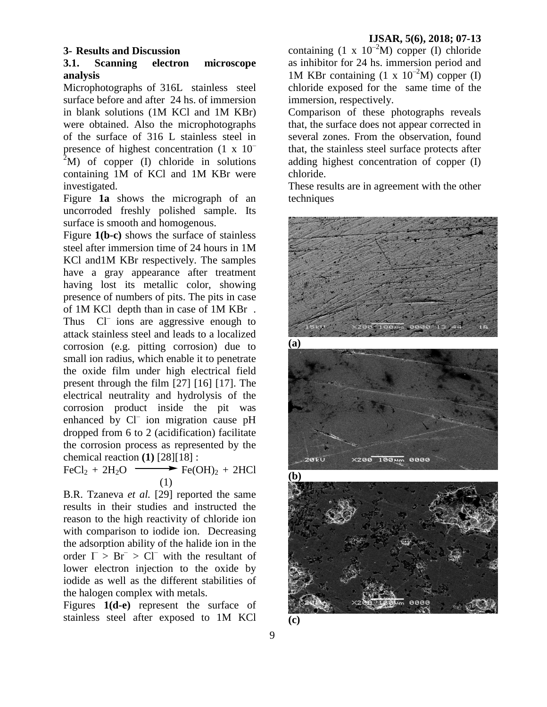# **3- Results and Discussion**

#### **3.1. Scanning electron microscope analysis**

Microphotographs of 316L stainless steel surface before and after 24 hs. of immersion in blank solutions (1M KCl and 1M KBr) were obtained. Also the microphotographs of the surface of 316 L stainless steel in presence of highest concentration (1 x 10–  $2^2$ M) of copper (I) chloride in solutions containing 1M of KCl and 1M KBr were investigated.

Figure **1a** shows the micrograph of an uncorroded freshly polished sample. Its surface is smooth and homogenous.

Figure **1(b-c)** shows the surface of stainless steel after immersion time of 24 hours in 1M KCl and1M KBr respectively. The samples have a gray appearance after treatment having lost its metallic color, showing presence of numbers of pits. The pits in case of 1M KCl depth than in case of 1M KBr . Thus Cl<sup>–</sup> ions are aggressive enough to attack stainless steel and leads to a localized corrosion (e.g. pitting corrosion) due to small ion radius, which enable it to penetrate the oxide film under high electrical field present through the film [27] [16] [17]. The electrical neutrality and hydrolysis of the corrosion product inside the pit was enhanced by Cl<sup>-</sup> ion migration cause pH dropped from 6 to 2 (acidification) facilitate the corrosion process as represented by the chemical reaction **(1)** [28][18] :

 $FeCl<sub>2</sub> + 2H<sub>2</sub>O \longrightarrow Fe(OH)<sub>2</sub> + 2HCl$ (1)

B.R. Tzaneva *et al.* [29] reported the same results in their studies and instructed the reason to the high reactivity of chloride ion with comparison to iodide ion. Decreasing the adsorption ability of the halide ion in the order  $\Gamma > \text{Br}^- > \text{CI}^-$  with the resultant of lower electron injection to the oxide by iodide as well as the different stabilities of the halogen complex with metals.

Figures **1(d-e)** represent the surface of stainless steel after exposed to 1M KCl

containing  $(1 \times 10^{-2}M)$  copper (I) chloride as inhibitor for 24 hs. immersion period and 1M KBr containing  $(1 \times 10^{-2}M)$  copper (I) chloride exposed for the same time of the immersion, respectively.

Comparison of these photographs reveals that, the surface does not appear corrected in several zones. From the observation, found that, the stainless steel surface protects after adding highest concentration of copper (I) chloride.

These results are in agreement with the other techniques

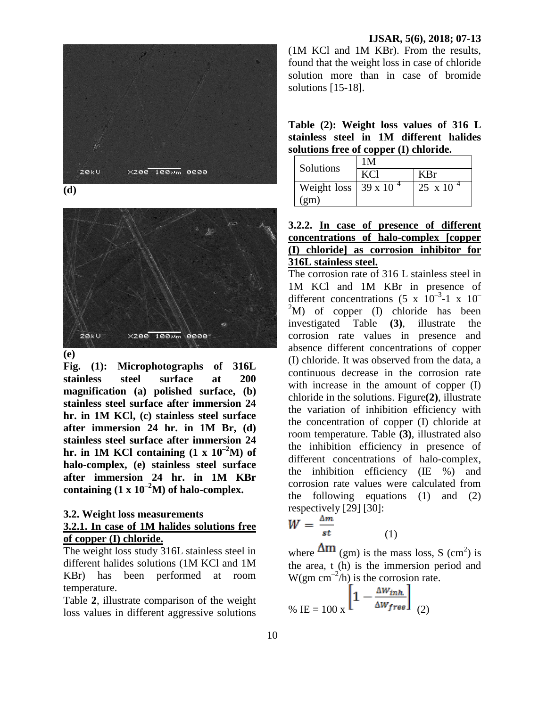

**(d)** 



**(e)** 

**Fig. (1): Microphotographs of 316L stainless steel surface at 200 magnification (a) polished surface, (b) stainless steel surface after immersion 24 hr. in 1M KCl, (c) stainless steel surface after immersion 24 hr. in 1M Br, (d) stainless steel surface after immersion 24**  hr. in 1M KCl containing  $(1 \times 10^{-2}M)$  of **halo-complex, (e) stainless steel surface after immersion 24 hr. in 1M KBr**  containing  $(1 \times 10^{-2} M)$  of halo-complex.

#### **3.2. Weight loss measurements**

# **3.2.1. In case of 1M halides solutions free of copper (I) chloride.**

The weight loss study 316L stainless steel in different halides solutions (1M KCl and 1M KBr) has been performed at room temperature.

Table **2**, illustrate comparison of the weight loss values in different aggressive solutions (1M KCl and 1M KBr). From the results, found that the weight loss in case of chloride solution more than in case of bromide solutions [15-18].

**Table (2): Weight loss values of 316 L stainless steel in 1M different halides solutions free of copper (I) chloride.**

| Solutions                       | 1 M |                     |  |  |
|---------------------------------|-----|---------------------|--|--|
|                                 | KCl | KBr                 |  |  |
| Weight loss $39 \times 10^{-4}$ |     | $25 \times 10^{-4}$ |  |  |
| $\gamma$ gm)                    |     |                     |  |  |

# **3.2.2. In case of presence of different concentrations of halo-complex [copper (I) chloride] as corrosion inhibitor for 316L stainless steel.**

The corrosion rate of 316 L stainless steel in 1M KCl and 1M KBr in presence of different concentrations  $(5 \times 10^{-3}$ -1 x 10<sup>-1</sup>  $^{2}$ M) of copper (I) chloride has been investigated Table **(3)**, illustrate the corrosion rate values in presence and absence different concentrations of copper (I) chloride. It was observed from the data, a continuous decrease in the corrosion rate with increase in the amount of copper (I) chloride in the solutions. Figure**(2)**, illustrate the variation of inhibition efficiency with the concentration of copper (I) chloride at room temperature. Table **(3)**, illustrated also the inhibition efficiency in presence of different concentrations of halo-complex, the inhibition efficiency (IE %) and corrosion rate values were calculated from the following equations (1) and (2) respectively [29] [30]:

$$
W = \frac{\Delta m}{st}
$$

where  $\Delta m$  (gm) is the mass loss, S (cm<sup>2</sup>) is the area, t (h) is the immersion period and  $W(gm \text{ cm}^{-2}/h)$  is the corrosion rate.

(1)

$$
\% \text{ IE} = 100 \text{ x} \left[ 1 - \frac{\Delta W_{inh}}{\Delta W_{free}} \right] \tag{2}
$$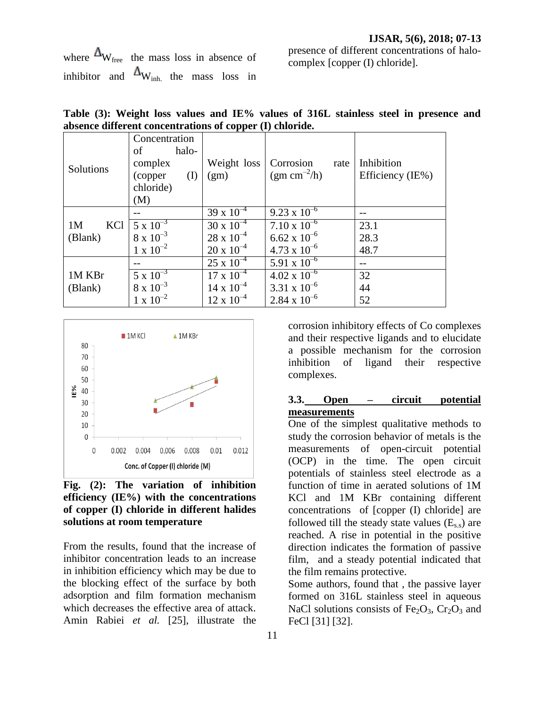where  $\Delta_{W_{\text{free}}}$  the mass loss in absence of inhibitor and  $\Delta_{\text{W}_{\text{inh}}}$  the mass loss in presence of different concentrations of halocomplex [copper (I) chloride].

| Solutions                        | Concentration      |                     |                          |                  |
|----------------------------------|--------------------|---------------------|--------------------------|------------------|
|                                  | halo-<br>of        |                     |                          |                  |
|                                  | complex            | Weight loss         | Corrosion<br>rate        | Inhibition       |
|                                  | (copper<br>(I)     | (gm)                | (gm cm <sup>-2</sup> /h) | Efficiency (IE%) |
|                                  | chloride)          |                     |                          |                  |
|                                  | (M)                |                     |                          |                  |
| KCl<br>1 <sub>M</sub><br>(Blank) |                    | $39 \times 10^{-4}$ | $9.23 \times 10^{-6}$    |                  |
|                                  | $5 \times 10^{-3}$ | $30 \times 10^{-4}$ | $7.10 \times 10^{-6}$    | 23.1             |
|                                  | $8 \times 10^{-3}$ | $28 \times 10^{-4}$ | $6.62 \times 10^{-6}$    | 28.3             |
|                                  | $1 \times 10^{-2}$ | $20 \times 10^{-4}$ | $4.73 \times 10^{-6}$    | 48.7             |
| 1M KBr<br>(Blank)                |                    | $25 \times 10^{-4}$ | 5.91 x $10^{-6}$         |                  |
|                                  | $5 \times 10^{-3}$ | $17 \times 10^{-4}$ | $4.02 \times 10^{-6}$    | 32               |
|                                  | $8 \times 10^{-3}$ | $14 \times 10^{-4}$ | 3.31 x $10^{-6}$         | 44               |
|                                  | $1 \times 10^{-2}$ | $12 \times 10^{-4}$ | $2.84 \times 10^{-6}$    | 52               |

**Table (3): Weight loss values and IE% values of 316L stainless steel in presence and absence different concentrations of copper (I) chloride.**



**Fig. (2): The variation of inhibition efficiency (IE%) with the concentrations of copper (I) chloride in different halides solutions at room temperature** 

From the results, found that the increase of inhibitor concentration leads to an increase in inhibition efficiency which may be due to the blocking effect of the surface by both adsorption and film formation mechanism which decreases the effective area of attack. Amin Rabiei *et al.* [25], illustrate the

corrosion inhibitory effects of Co complexes and their respective ligands and to elucidate a possible mechanism for the corrosion inhibition of ligand their respective complexes.

# **3.3. Open – circuit potential measurements**

One of the simplest qualitative methods to study the corrosion behavior of metals is the measurements of open-circuit potential (OCP) in the time. The open circuit potentials of stainless steel electrode as a function of time in aerated solutions of 1M KCl and 1M KBr containing different concentrations of [copper (I) chloride] are followed till the steady state values  $(E<sub>s</sub>)$  are reached. A rise in potential in the positive direction indicates the formation of passive film, and a steady potential indicated that the film remains protective.

Some authors, found that , the passive layer formed on 316L stainless steel in aqueous NaCl solutions consists of  $Fe<sub>2</sub>O<sub>3</sub>$ ,  $Cr<sub>2</sub>O<sub>3</sub>$  and FeCl [31] [32].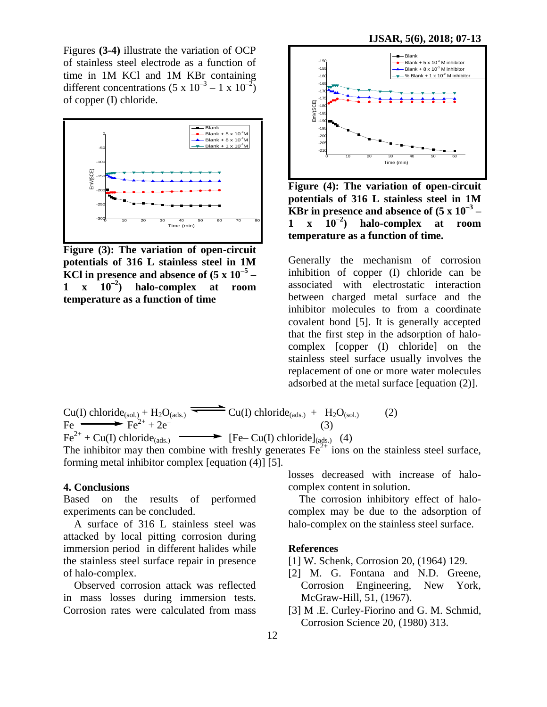Figures **(3-4)** illustrate the variation of OCP of stainless steel electrode as a function of time in 1M KCl and 1M KBr containing different concentrations  $(5 \times 10^{-3} - 1 \times 10^{-2})$ of copper (I) chloride.



**Figure (3): The variation of open-circuit potentials of 316 L stainless steel in 1M KCl in presence and absence of (5 x 10–5 – 1 x 10–2 ) halo-complex at room temperature as a function of time**



**Figure (4): The variation of open-circuit potentials of 316 L stainless steel in 1M KBr in presence and absence of (5 x 10–3 – 1 x 10–2 ) halo-complex at room temperature as a function of time.**

Generally the mechanism of corrosion inhibition of copper (I) chloride can be associated with electrostatic interaction between charged metal surface and the inhibitor molecules to from a coordinate covalent bond [5]. It is generally accepted that the first step in the adsorption of halocomplex [copper (I) chloride] on the stainless steel surface usually involves the replacement of one or more water molecules adsorbed at the metal surface [equation (2)].

 $Cu(I)$  chloride<sub>(sol.)</sub> + H<sub>2</sub>O<sub>(ads.)</sub>  $\overline{\phantom{ex}$  Cu(I) chloride<sub>(ads.)</sub> + H<sub>2</sub>O<sub>(sol.)</sub> (2) Fe  $\longrightarrow$  Fe<sup>2+</sup> + 2e<sup>-</sup> (3)  $Fe^{2+} + Cu(I)$  chloride<sub>(ads.)</sub>  $\longrightarrow$  [Fe– Cu(I) chloride]<sub>(ads.)</sub> (4)

The inhibitor may then combine with freshly generates  $Fe<sup>2+</sup>$  ions on the stainless steel surface, forming metal inhibitor complex [equation (4)] [5].

#### **4. Conclusions**

Based on the results of performed experiments can be concluded.

A surface of 316 L stainless steel was attacked by local pitting corrosion during immersion period in different halides while the stainless steel surface repair in presence of halo-complex.

Observed corrosion attack was reflected in mass losses during immersion tests. Corrosion rates were calculated from mass losses decreased with increase of halocomplex content in solution.

The corrosion inhibitory effect of halocomplex may be due to the adsorption of halo-complex on the stainless steel surface.

#### **References**

- [1] W. Schenk, Corrosion 20, (1964) 129.
- [2] M. G. Fontana and N.D. Greene, Corrosion Engineering, New York, McGraw-Hill, 51, (1967).
- [3] M .E. Curley-Fiorino and G. M. Schmid, Corrosion Science 20, (1980) 313.